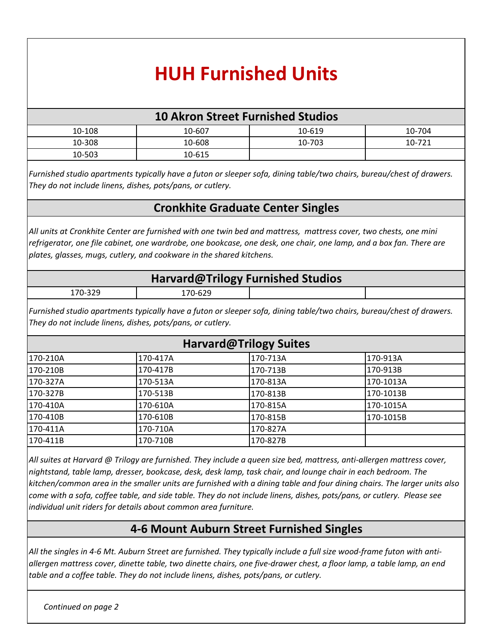## **HUH Furnished Units**

## **10 Akron Street Furnished Studios**

| 10-108 | 10-607 | 10-619 | 10-704 |
|--------|--------|--------|--------|
| 10-308 | 10-608 | 10-703 | 10-721 |
| 10-503 | 10-615 |        |        |

*Furnished studio apartments typically have a futon or sleeper sofa, dining table/two chairs, bureau/chest of drawers. They do not include linens, dishes, pots/pans, or cutlery.* 

## **Cronkhite Graduate Center Singles**

*All units at Cronkhite Center are furnished with one twin bed and mattress, mattress cover, two chests, one mini refrigerator, one file cabinet, one wardrobe, one bookcase, one desk, one chair, one lamp, and a box fan. There are plates, glasses, mugs, cutlery, and cookware in the shared kitchens.*

| Harvard@Trilogy Furnished Studios |         |  |  |  |
|-----------------------------------|---------|--|--|--|
| 170-329                           | 170-629 |  |  |  |

*Furnished studio apartments typically have a futon or sleeper sofa, dining table/two chairs, bureau/chest of drawers. They do not include linens, dishes, pots/pans, or cutlery.* 

| Harvard@Trilogy Suites |          |          |           |  |
|------------------------|----------|----------|-----------|--|
| 1170-210A              | 170-417A | 170-713A | l170-913A |  |
| 170-210B               | 170-417B | 170-713B | 170-913B  |  |
| 170-327A               | 170-513A | 170-813A | 170-1013A |  |
| 170-327B               | 170-513B | 170-813B | 170-1013B |  |
| 170-410A               | 170-610A | 170-815A | 170-1015A |  |
| 170-410B               | 170-610B | 170-815B | 170-1015B |  |
| 170-411A               | 170-710A | 170-827A |           |  |
| 170-411B               | 170-710B | 170-827B |           |  |

*All suites at Harvard @ Trilogy are furnished. They include a queen size bed, mattress, anti-allergen mattress cover, nightstand, table lamp, dresser, bookcase, desk, desk lamp, task chair, and lounge chair in each bedroom. The kitchen/common area in the smaller units are furnished with a dining table and four dining chairs. The larger units also come with a sofa, coffee table, and side table. They do not include linens, dishes, pots/pans, or cutlery. Please see individual unit riders for details about common area furniture.* 

## **4-6 Mount Auburn Street Furnished Singles**

*All the singles in 4-6 Mt. Auburn Street are furnished. They typically include a full size wood-frame futon with antiallergen mattress cover, dinette table, two dinette chairs, one five-drawer chest, a floor lamp, a table lamp, an end table and a coffee table. They do not include linens, dishes, pots/pans, or cutlery.*

*Continued on page 2*